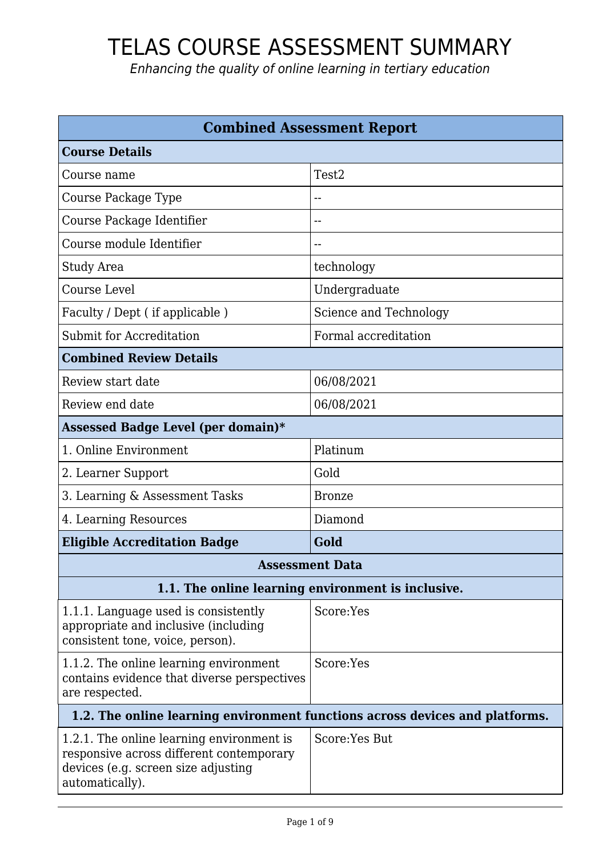| <b>Combined Assessment Report</b>                                                                                                               |                                                    |
|-------------------------------------------------------------------------------------------------------------------------------------------------|----------------------------------------------------|
| <b>Course Details</b>                                                                                                                           |                                                    |
| Course name                                                                                                                                     | Test <sub>2</sub>                                  |
| Course Package Type                                                                                                                             | --                                                 |
| Course Package Identifier                                                                                                                       | --                                                 |
| Course module Identifier                                                                                                                        | --                                                 |
| Study Area                                                                                                                                      | technology                                         |
| <b>Course Level</b>                                                                                                                             | Undergraduate                                      |
| Faculty / Dept (if applicable)                                                                                                                  | Science and Technology                             |
| Submit for Accreditation                                                                                                                        | Formal accreditation                               |
| <b>Combined Review Details</b>                                                                                                                  |                                                    |
| Review start date                                                                                                                               | 06/08/2021                                         |
| Review end date                                                                                                                                 | 06/08/2021                                         |
| Assessed Badge Level (per domain)*                                                                                                              |                                                    |
| 1. Online Environment                                                                                                                           | Platinum                                           |
| 2. Learner Support                                                                                                                              | Gold                                               |
| 3. Learning & Assessment Tasks                                                                                                                  | <b>Bronze</b>                                      |
| 4. Learning Resources                                                                                                                           | Diamond                                            |
| <b>Eligible Accreditation Badge</b>                                                                                                             | Gold                                               |
|                                                                                                                                                 | Assessment Data                                    |
|                                                                                                                                                 | 1.1. The online learning environment is inclusive. |
| 1.1.1. Language used is consistently<br>appropriate and inclusive (including<br>consistent tone, voice, person).                                | Score:Yes                                          |
| 1.1.2. The online learning environment<br>contains evidence that diverse perspectives<br>are respected.                                         | Score:Yes                                          |
| 1.2. The online learning environment functions across devices and platforms.                                                                    |                                                    |
| 1.2.1. The online learning environment is<br>responsive across different contemporary<br>devices (e.g. screen size adjusting<br>automatically). | Score: Yes But                                     |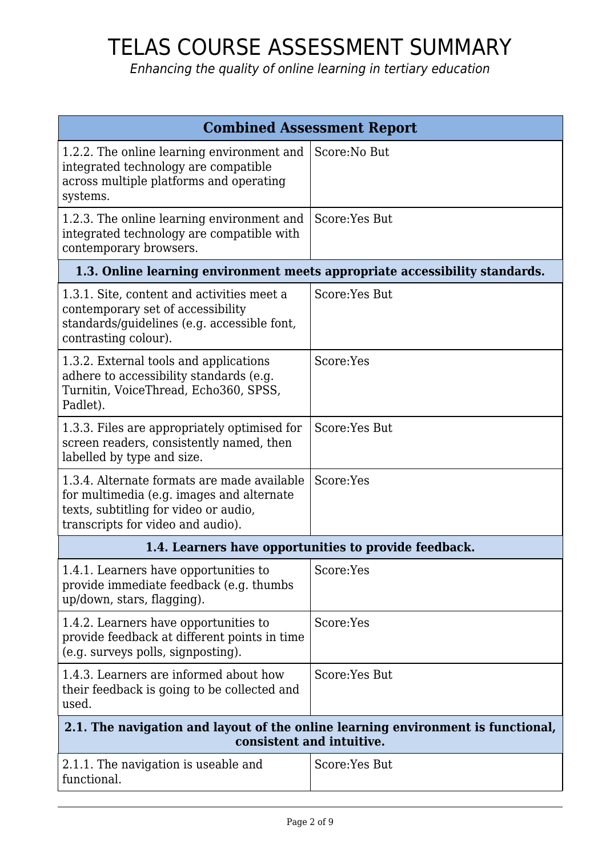| <b>Combined Assessment Report</b>                                                                                                                                      |                                                                             |
|------------------------------------------------------------------------------------------------------------------------------------------------------------------------|-----------------------------------------------------------------------------|
| 1.2.2. The online learning environment and<br>integrated technology are compatible<br>across multiple platforms and operating<br>systems.                              | Score: No But                                                               |
| 1.2.3. The online learning environment and<br>integrated technology are compatible with<br>contemporary browsers.                                                      | Score:Yes But                                                               |
|                                                                                                                                                                        | 1.3. Online learning environment meets appropriate accessibility standards. |
| 1.3.1. Site, content and activities meet a<br>contemporary set of accessibility<br>standards/guidelines (e.g. accessible font,<br>contrasting colour).                 | Score: Yes But                                                              |
| 1.3.2. External tools and applications<br>adhere to accessibility standards (e.g.<br>Turnitin, VoiceThread, Echo360, SPSS,<br>Padlet).                                 | Score:Yes                                                                   |
| 1.3.3. Files are appropriately optimised for<br>screen readers, consistently named, then<br>labelled by type and size.                                                 | Score:Yes But                                                               |
| 1.3.4. Alternate formats are made available<br>for multimedia (e.g. images and alternate<br>texts, subtitling for video or audio,<br>transcripts for video and audio). | Score:Yes                                                                   |
|                                                                                                                                                                        | 1.4. Learners have opportunities to provide feedback.                       |
| 1.4.1. Learners have opportunities to<br>provide immediate feedback (e.g. thumbs<br>up/down, stars, flagging).                                                         | Score:Yes                                                                   |
| 1.4.2. Learners have opportunities to<br>provide feedback at different points in time<br>(e.g. surveys polls, signposting).                                            | Score:Yes                                                                   |
| 1.4.3. Learners are informed about how<br>their feedback is going to be collected and<br>used.                                                                         | Score: Yes But                                                              |
| 2.1. The navigation and layout of the online learning environment is functional,<br>consistent and intuitive.                                                          |                                                                             |
| 2.1.1. The navigation is useable and<br>functional.                                                                                                                    | Score:Yes But                                                               |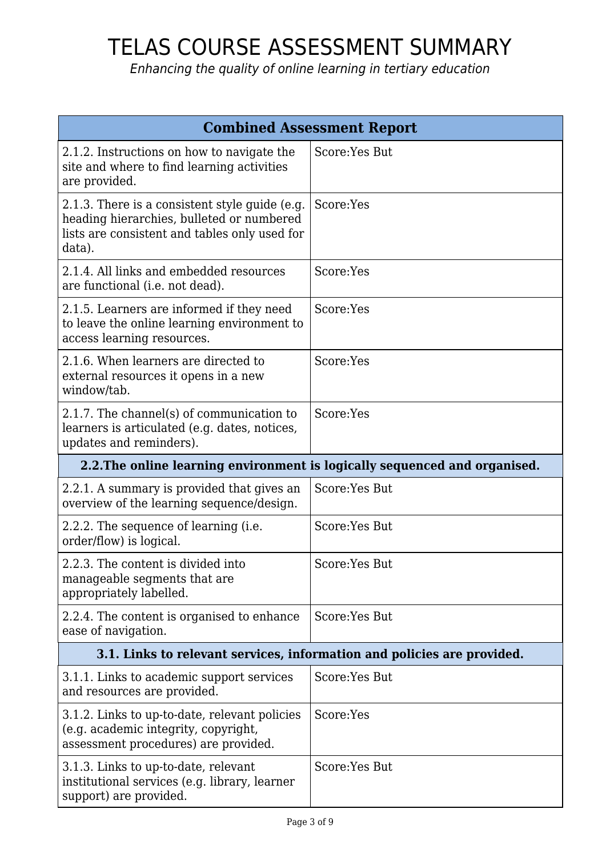| <b>Combined Assessment Report</b>                                                                                                                      |                                                                            |
|--------------------------------------------------------------------------------------------------------------------------------------------------------|----------------------------------------------------------------------------|
| 2.1.2. Instructions on how to navigate the<br>site and where to find learning activities<br>are provided.                                              | Score: Yes But                                                             |
| 2.1.3. There is a consistent style guide (e.g.<br>heading hierarchies, bulleted or numbered<br>lists are consistent and tables only used for<br>data). | Score:Yes                                                                  |
| 2.1.4. All links and embedded resources<br>are functional (i.e. not dead).                                                                             | Score:Yes                                                                  |
| 2.1.5. Learners are informed if they need<br>to leave the online learning environment to<br>access learning resources.                                 | Score:Yes                                                                  |
| 2.1.6. When learners are directed to<br>external resources it opens in a new<br>window/tab.                                                            | Score:Yes                                                                  |
| 2.1.7. The channel(s) of communication to<br>learners is articulated (e.g. dates, notices,<br>updates and reminders).                                  | Score:Yes                                                                  |
|                                                                                                                                                        | 2.2. The online learning environment is logically sequenced and organised. |
| 2.2.1. A summary is provided that gives an<br>overview of the learning sequence/design.                                                                | Score: Yes But                                                             |
| 2.2.2. The sequence of learning (i.e.<br>order/flow) is logical.                                                                                       | Score:Yes But                                                              |
| 2.2.3. The content is divided into<br>manageable segments that are<br>appropriately labelled.                                                          | Score:Yes But                                                              |
| 2.2.4. The content is organised to enhance<br>ease of navigation.                                                                                      | Score: Yes But                                                             |
| 3.1. Links to relevant services, information and policies are provided.                                                                                |                                                                            |
| 3.1.1. Links to academic support services<br>and resources are provided.                                                                               | Score: Yes But                                                             |
| 3.1.2. Links to up-to-date, relevant policies<br>(e.g. academic integrity, copyright,<br>assessment procedures) are provided.                          | Score:Yes                                                                  |
| 3.1.3. Links to up-to-date, relevant<br>institutional services (e.g. library, learner<br>support) are provided.                                        | Score:Yes But                                                              |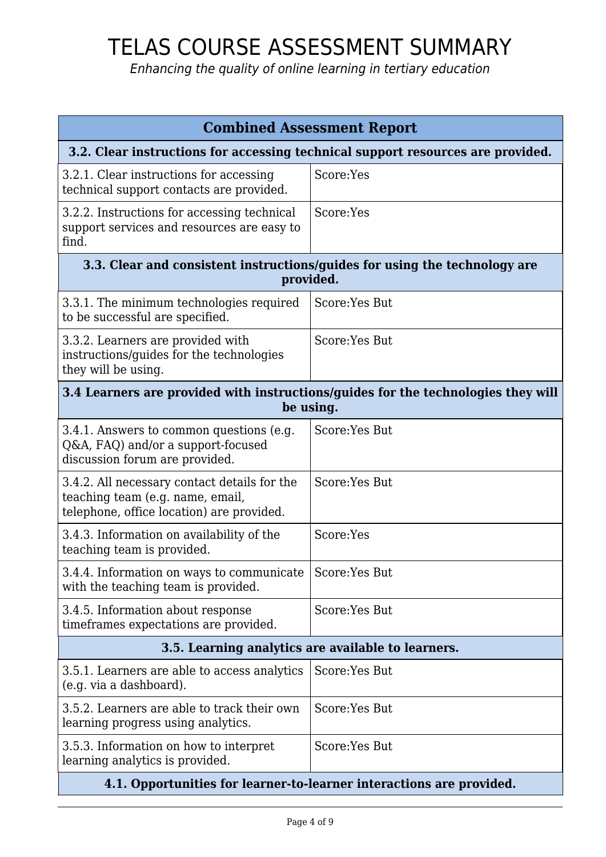| <b>Combined Assessment Report</b>                                                                                             |                |
|-------------------------------------------------------------------------------------------------------------------------------|----------------|
| 3.2. Clear instructions for accessing technical support resources are provided.                                               |                |
| 3.2.1. Clear instructions for accessing<br>technical support contacts are provided.                                           | Score:Yes      |
| 3.2.2. Instructions for accessing technical<br>support services and resources are easy to<br>find.                            | Score:Yes      |
| 3.3. Clear and consistent instructions/guides for using the technology are<br>provided.                                       |                |
| 3.3.1. The minimum technologies required<br>to be successful are specified.                                                   | Score: Yes But |
| 3.3.2. Learners are provided with<br>instructions/guides for the technologies<br>they will be using.                          | Score: Yes But |
| 3.4 Learners are provided with instructions/guides for the technologies they will<br>be using.                                |                |
| 3.4.1. Answers to common questions (e.g.<br>Q&A, FAQ) and/or a support-focused<br>discussion forum are provided.              | Score: Yes But |
| 3.4.2. All necessary contact details for the<br>teaching team (e.g. name, email,<br>telephone, office location) are provided. | Score: Yes But |
| 3.4.3. Information on availability of the<br>teaching team is provided.                                                       | Score:Yes      |
| 3.4.4. Information on ways to communicate<br>with the teaching team is provided.                                              | Score:Yes But  |
| 3.4.5. Information about response<br>time frames expectations are provided.                                                   | Score: Yes But |
| 3.5. Learning analytics are available to learners.                                                                            |                |
| 3.5.1. Learners are able to access analytics<br>(e.g. via a dashboard).                                                       | Score:Yes But  |
| 3.5.2. Learners are able to track their own<br>learning progress using analytics.                                             | Score:Yes But  |
| 3.5.3. Information on how to interpret<br>learning analytics is provided.                                                     | Score: Yes But |
| 4.1. Opportunities for learner-to-learner interactions are provided.                                                          |                |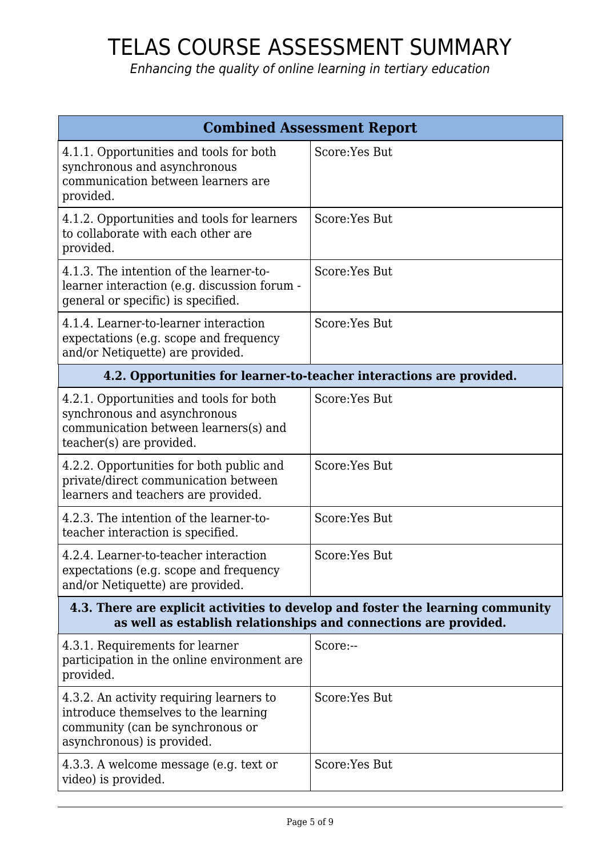| <b>Combined Assessment Report</b>                                                                                                                   |                                                                      |
|-----------------------------------------------------------------------------------------------------------------------------------------------------|----------------------------------------------------------------------|
| 4.1.1. Opportunities and tools for both<br>synchronous and asynchronous<br>communication between learners are<br>provided.                          | Score: Yes But                                                       |
| 4.1.2. Opportunities and tools for learners<br>to collaborate with each other are<br>provided.                                                      | Score:Yes But                                                        |
| 4.1.3. The intention of the learner-to-<br>learner interaction (e.g. discussion forum -<br>general or specific) is specified.                       | Score: Yes But                                                       |
| 4.1.4. Learner-to-learner interaction<br>expectations (e.g. scope and frequency<br>and/or Netiquette) are provided.                                 | Score: Yes But                                                       |
|                                                                                                                                                     | 4.2. Opportunities for learner-to-teacher interactions are provided. |
| 4.2.1. Opportunities and tools for both<br>synchronous and asynchronous<br>communication between learners(s) and<br>teacher(s) are provided.        | Score: Yes But                                                       |
| 4.2.2. Opportunities for both public and<br>private/direct communication between<br>learners and teachers are provided.                             | Score: Yes But                                                       |
| 4.2.3. The intention of the learner-to-<br>teacher interaction is specified.                                                                        | Score:Yes But                                                        |
| 4.2.4. Learner-to-teacher interaction<br>expectations (e.g. scope and frequency<br>and/or Netiquette) are provided.                                 | Score: Yes But                                                       |
| 4.3. There are explicit activities to develop and foster the learning community<br>as well as establish relationships and connections are provided. |                                                                      |
| 4.3.1. Requirements for learner<br>participation in the online environment are<br>provided.                                                         | Score:--                                                             |
| 4.3.2. An activity requiring learners to<br>introduce themselves to the learning<br>community (can be synchronous or<br>asynchronous) is provided.  | Score:Yes But                                                        |
| 4.3.3. A welcome message (e.g. text or<br>video) is provided.                                                                                       | Score:Yes But                                                        |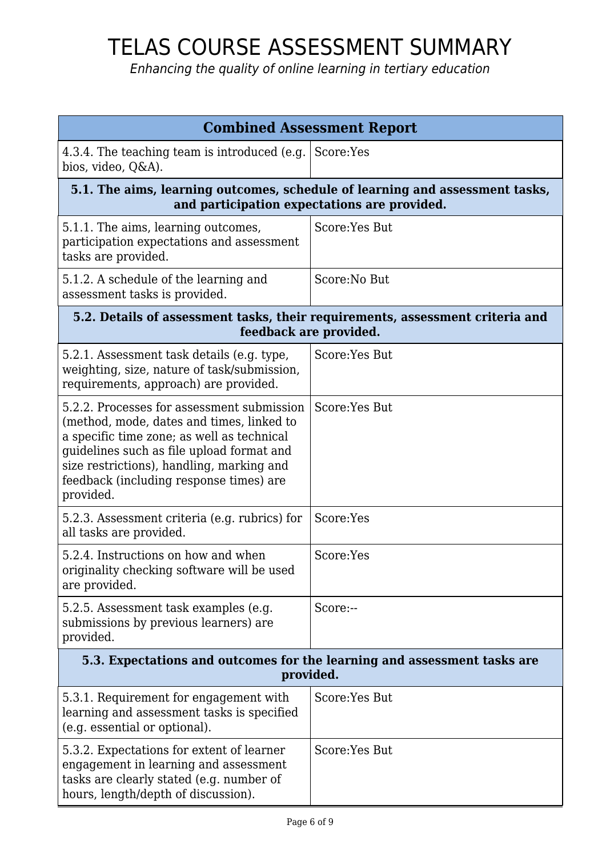| <b>Combined Assessment Report</b>                                                                                                                                                                                                                                                       |                |
|-----------------------------------------------------------------------------------------------------------------------------------------------------------------------------------------------------------------------------------------------------------------------------------------|----------------|
| 4.3.4. The teaching team is introduced (e.g. Score:Yes<br>bios, video, Q&A).                                                                                                                                                                                                            |                |
| 5.1. The aims, learning outcomes, schedule of learning and assessment tasks,<br>and participation expectations are provided.                                                                                                                                                            |                |
| 5.1.1. The aims, learning outcomes,<br>participation expectations and assessment<br>tasks are provided.                                                                                                                                                                                 | Score:Yes But  |
| 5.1.2. A schedule of the learning and<br>assessment tasks is provided.                                                                                                                                                                                                                  | Score: No But  |
| 5.2. Details of assessment tasks, their requirements, assessment criteria and<br>feedback are provided.                                                                                                                                                                                 |                |
| 5.2.1. Assessment task details (e.g. type,<br>weighting, size, nature of task/submission,<br>requirements, approach) are provided.                                                                                                                                                      | Score:Yes But  |
| 5.2.2. Processes for assessment submission<br>(method, mode, dates and times, linked to<br>a specific time zone; as well as technical<br>guidelines such as file upload format and<br>size restrictions), handling, marking and<br>feedback (including response times) are<br>provided. | Score: Yes But |
| 5.2.3. Assessment criteria (e.g. rubrics) for<br>all tasks are provided.                                                                                                                                                                                                                | Score:Yes      |
| 5.2.4. Instructions on how and when<br>originality checking software will be used<br>are provided.                                                                                                                                                                                      | Score:Yes      |
| 5.2.5. Assessment task examples (e.g.<br>submissions by previous learners) are<br>provided.                                                                                                                                                                                             | Score:--       |
| 5.3. Expectations and outcomes for the learning and assessment tasks are<br>provided.                                                                                                                                                                                                   |                |
| 5.3.1. Requirement for engagement with<br>learning and assessment tasks is specified<br>(e.g. essential or optional).                                                                                                                                                                   | Score:Yes But  |
| 5.3.2. Expectations for extent of learner<br>engagement in learning and assessment<br>tasks are clearly stated (e.g. number of<br>hours, length/depth of discussion).                                                                                                                   | Score:Yes But  |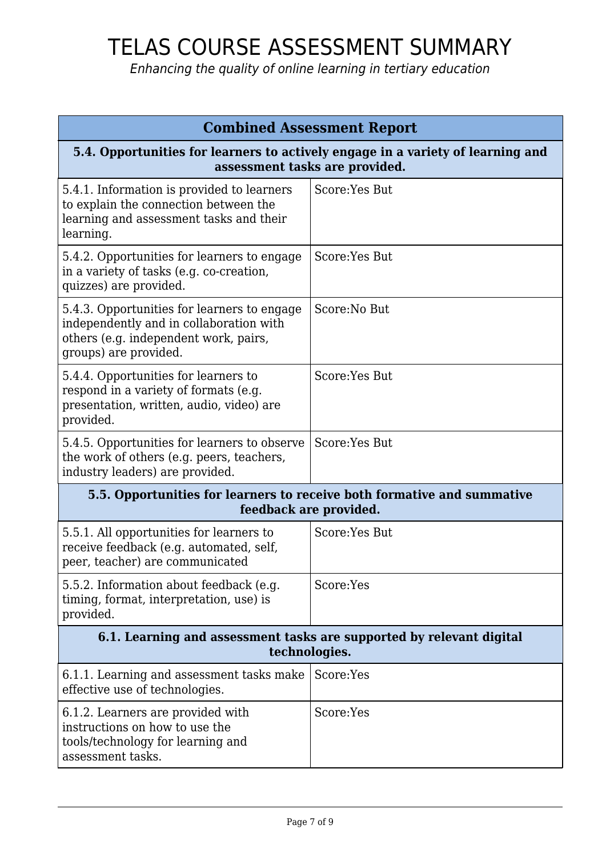| <b>Combined Assessment Report</b>                                                                                                                        |                |
|----------------------------------------------------------------------------------------------------------------------------------------------------------|----------------|
| 5.4. Opportunities for learners to actively engage in a variety of learning and<br>assessment tasks are provided.                                        |                |
| 5.4.1. Information is provided to learners<br>to explain the connection between the<br>learning and assessment tasks and their<br>learning.              | Score: Yes But |
| 5.4.2. Opportunities for learners to engage<br>in a variety of tasks (e.g. co-creation,<br>quizzes) are provided.                                        | Score: Yes But |
| 5.4.3. Opportunities for learners to engage<br>independently and in collaboration with<br>others (e.g. independent work, pairs,<br>groups) are provided. | Score: No But  |
| 5.4.4. Opportunities for learners to<br>respond in a variety of formats (e.g.<br>presentation, written, audio, video) are<br>provided.                   | Score:Yes But  |
| 5.4.5. Opportunities for learners to observe<br>the work of others (e.g. peers, teachers,<br>industry leaders) are provided.                             | Score: Yes But |
| 5.5. Opportunities for learners to receive both formative and summative<br>feedback are provided.                                                        |                |
| 5.5.1. All opportunities for learners to<br>receive feedback (e.g. automated, self,<br>peer, teacher) are communicated                                   | Score: Yes But |
| 5.5.2. Information about feedback (e.g.<br>timing, format, interpretation, use) is<br>provided.                                                          | Score:Yes      |
| 6.1. Learning and assessment tasks are supported by relevant digital<br>technologies.                                                                    |                |
| 6.1.1. Learning and assessment tasks make<br>effective use of technologies.                                                                              | Score:Yes      |
| 6.1.2. Learners are provided with<br>instructions on how to use the<br>tools/technology for learning and<br>assessment tasks.                            | Score:Yes      |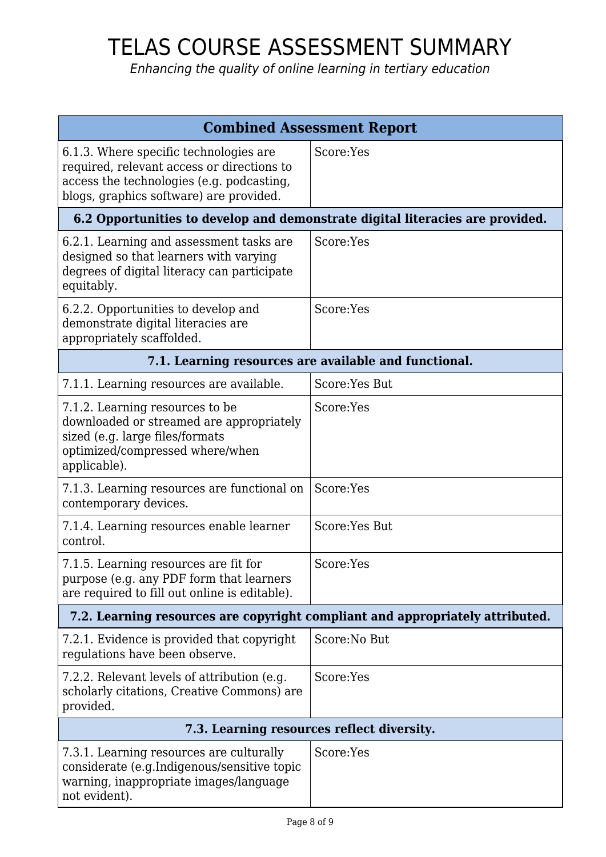| <b>Combined Assessment Report</b>                                                                                                                                            |                                                                               |
|------------------------------------------------------------------------------------------------------------------------------------------------------------------------------|-------------------------------------------------------------------------------|
| 6.1.3. Where specific technologies are<br>required, relevant access or directions to<br>access the technologies (e.g. podcasting,<br>blogs, graphics software) are provided. | Score:Yes                                                                     |
|                                                                                                                                                                              | 6.2 Opportunities to develop and demonstrate digital literacies are provided. |
| 6.2.1. Learning and assessment tasks are<br>designed so that learners with varying<br>degrees of digital literacy can participate<br>equitably.                              | Score:Yes                                                                     |
| 6.2.2. Opportunities to develop and<br>demonstrate digital literacies are<br>appropriately scaffolded.                                                                       | Score:Yes                                                                     |
| 7.1. Learning resources are available and functional.                                                                                                                        |                                                                               |
| 7.1.1. Learning resources are available.                                                                                                                                     | Score: Yes But                                                                |
| 7.1.2. Learning resources to be<br>downloaded or streamed are appropriately<br>sized (e.g. large files/formats<br>optimized/compressed where/when<br>applicable).            | Score:Yes                                                                     |
| 7.1.3. Learning resources are functional on<br>contemporary devices.                                                                                                         | Score:Yes                                                                     |
| 7.1.4. Learning resources enable learner<br>control.                                                                                                                         | Score: Yes But                                                                |
| 7.1.5. Learning resources are fit for<br>purpose (e.g. any PDF form that learners<br>are required to fill out online is editable).                                           | Score:Yes                                                                     |
|                                                                                                                                                                              | 7.2. Learning resources are copyright compliant and appropriately attributed. |
| 7.2.1. Evidence is provided that copyright<br>regulations have been observe.                                                                                                 | Score:No But                                                                  |
| 7.2.2. Relevant levels of attribution (e.g.<br>scholarly citations, Creative Commons) are<br>provided.                                                                       | Score:Yes                                                                     |
|                                                                                                                                                                              | 7.3. Learning resources reflect diversity.                                    |
| 7.3.1. Learning resources are culturally<br>considerate (e.g.Indigenous/sensitive topic<br>warning, inappropriate images/language<br>not evident).                           | Score:Yes                                                                     |